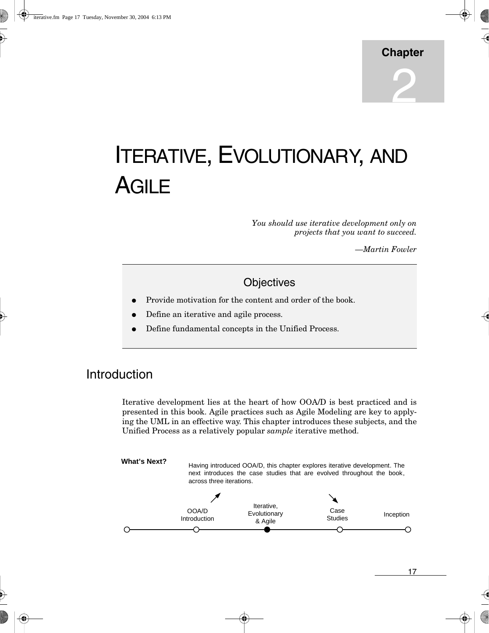# **Chapter**

2

# **ITERATIVE, EVOLUTIONARY, AND AGILE**

*You should use iterative development only on projects that you want to succeed.*

*—Martin Fowler*

# **Objectives**

- Provide motivation for the content and order of the book.
- Define an iterative and agile process.
- Define fundamental concepts in the Unified Process.

# Introduction

Iterative development lies at the heart of how OOA/D is best practiced and is presented in this book. Agile practices such as Agile Modeling are key to applying the UML in an effective way. This chapter introduces these subjects, and the Unified Process as a relatively popular *sample* iterative method.

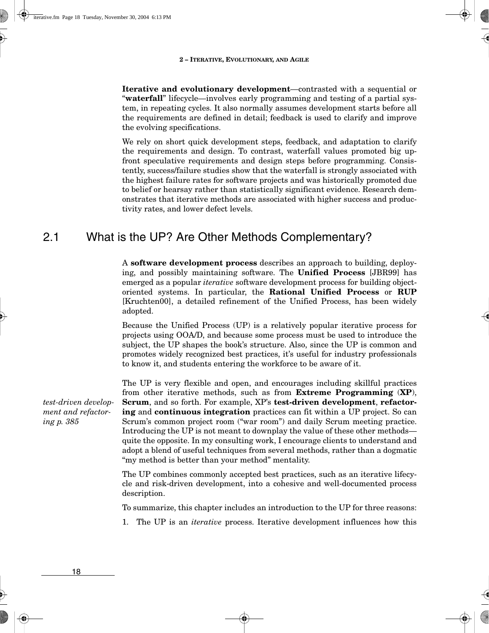**Iterative and evolutionary development**—contrasted with a sequential or "**waterfall**" lifecycle—involves early programming and testing of a partial system, in repeating cycles. It also normally assumes development starts before all the requirements are defined in detail; feedback is used to clarify and improve the evolving specifications.

We rely on short quick development steps, feedback, and adaptation to clarify the requirements and design. To contrast, waterfall values promoted big upfront speculative requirements and design steps before programming. Consistently, success/failure studies show that the waterfall is strongly associated with the highest failure rates for software projects and was historically promoted due to belief or hearsay rather than statistically significant evidence. Research demonstrates that iterative methods are associated with higher success and productivity rates, and lower defect levels.

# 2.1 What is the UP? Are Other Methods Complementary?

A **software development process** describes an approach to building, deploying, and possibly maintaining software. The **Unified Process** [JBR99] has emerged as a popular *iterative* software development process for building objectoriented systems. In particular, the **Rational Unified Process** or **RUP** [Kruchten00], a detailed refinement of the Unified Process, has been widely adopted.

Because the Unified Process (UP) is a relatively popular iterative process for projects using OOA/D, and because some process must be used to introduce the subject, the UP shapes the book's structure. Also, since the UP is common and promotes widely recognized best practices, it's useful for industry professionals to know it, and students entering the workforce to be aware of it.

The UP is very flexible and open, and encourages including skillful practices from other iterative methods, such as from **Extreme Programming** (**XP**), **Scrum**, and so forth. For example, XP's **test-driven development**, **refactoring** and **continuous integration** practices can fit within a UP project. So can Scrum's common project room ("war room") and daily Scrum meeting practice. Introducing the UP is not meant to downplay the value of these other methods quite the opposite. In my consulting work, I encourage clients to understand and adopt a blend of useful techniques from several methods, rather than a dogmatic "my method is better than your method" mentality.

The UP combines commonly accepted best practices, such as an iterative lifecycle and risk-driven development, into a cohesive and well-documented process description.

To summarize, this chapter includes an introduction to the UP for three reasons:

1. The UP is an *iterative* process. Iterative development influences how this

*test-driven development and refactoring p. 385*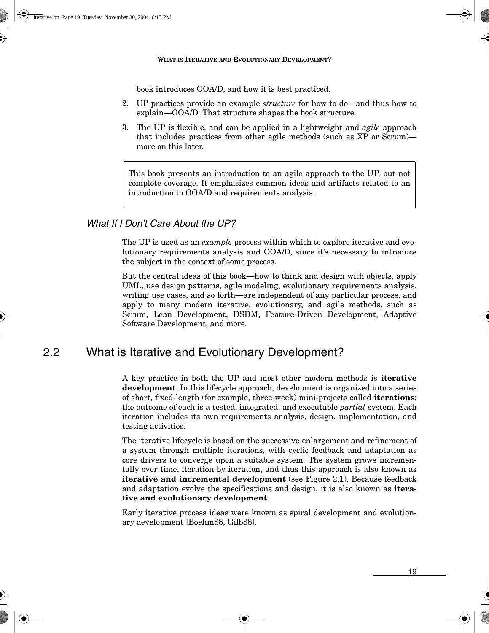#### **WHAT IS ITERATIVE AND EVOLUTIONARY DEVELOPMENT?**

book introduces OOA/D, and how it is best practiced.

- 2. UP practices provide an example *structure* for how to do—and thus how to explain—OOA/D. That structure shapes the book structure.
- 3. The UP is flexible, and can be applied in a lightweight and *agile* approach that includes practices from other agile methods (such as XP or Scrum) more on this later.

This book presents an introduction to an agile approach to the UP, but not complete coverage. It emphasizes common ideas and artifacts related to an introduction to OOA/D and requirements analysis.

### *What If I Don't Care About the UP?*

The UP is used as an *example* process within which to explore iterative and evolutionary requirements analysis and OOA/D, since it's necessary to introduce the subject in the context of some process.

But the central ideas of this book—how to think and design with objects, apply UML, use design patterns, agile modeling, evolutionary requirements analysis, writing use cases, and so forth—are independent of any particular process, and apply to many modern iterative, evolutionary, and agile methods, such as Scrum, Lean Development, DSDM, Feature-Driven Development, Adaptive Software Development, and more.

# 2.2 What is Iterative and Evolutionary Development?

A key practice in both the UP and most other modern methods is **iterative development**. In this lifecycle approach, development is organized into a series of short, fixed-length (for example, three-week) mini-projects called **iterations**; the outcome of each is a tested, integrated, and executable *partial* system. Each iteration includes its own requirements analysis, design, implementation, and testing activities.

The iterative lifecycle is based on the successive enlargement and refinement of a system through multiple iterations, with cyclic feedback and adaptation as core drivers to converge upon a suitable system. The system grows incrementally over time, iteration by iteration, and thus this approach is also known as **iterative and incremental development** (see Figure 2.1). Because feedback and adaptation evolve the specifications and design, it is also known as **iterative and evolutionary development**.

Early iterative process ideas were known as spiral development and evolutionary development [Boehm88, Gilb88].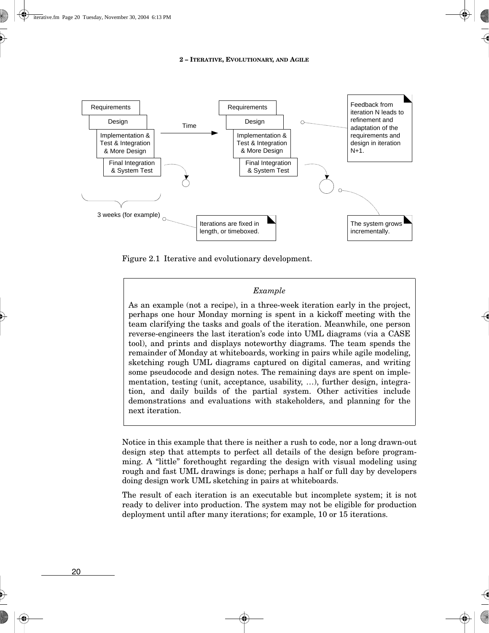

Figure 2.1 Iterative and evolutionary development.

#### *Example*

As an example (not a recipe), in a three-week iteration early in the project, perhaps one hour Monday morning is spent in a kickoff meeting with the team clarifying the tasks and goals of the iteration. Meanwhile, one person reverse-engineers the last iteration's code into UML diagrams (via a CASE tool), and prints and displays noteworthy diagrams. The team spends the remainder of Monday at whiteboards, working in pairs while agile modeling, sketching rough UML diagrams captured on digital cameras, and writing some pseudocode and design notes. The remaining days are spent on implementation, testing (unit, acceptance, usability, …), further design, integration, and daily builds of the partial system. Other activities include demonstrations and evaluations with stakeholders, and planning for the next iteration.

Notice in this example that there is neither a rush to code, nor a long drawn-out design step that attempts to perfect all details of the design before programming. A "little" forethought regarding the design with visual modeling using rough and fast UML drawings is done; perhaps a half or full day by developers doing design work UML sketching in pairs at whiteboards.

The result of each iteration is an executable but incomplete system; it is not ready to deliver into production. The system may not be eligible for production deployment until after many iterations; for example, 10 or 15 iterations.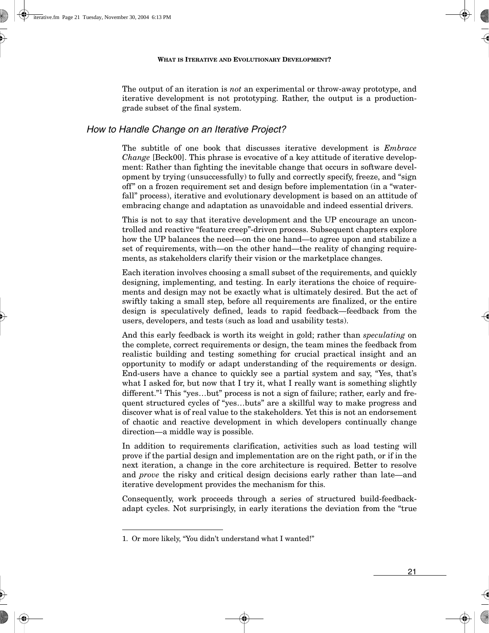#### **WHAT IS ITERATIVE AND EVOLUTIONARY DEVELOPMENT?**

The output of an iteration is *not* an experimental or throw-away prototype, and iterative development is not prototyping. Rather, the output is a productiongrade subset of the final system.

### *How to Handle Change on an Iterative Project?*

The subtitle of one book that discusses iterative development is *Embrace Change* [Beck00]. This phrase is evocative of a key attitude of iterative development: Rather than fighting the inevitable change that occurs in software development by trying (unsuccessfully) to fully and correctly specify, freeze, and "sign off" on a frozen requirement set and design before implementation (in a "waterfall" process), iterative and evolutionary development is based on an attitude of embracing change and adaptation as unavoidable and indeed essential drivers.

This is not to say that iterative development and the UP encourage an uncontrolled and reactive "feature creep"-driven process. Subsequent chapters explore how the UP balances the need—on the one hand—to agree upon and stabilize a set of requirements, with—on the other hand—the reality of changing requirements, as stakeholders clarify their vision or the marketplace changes.

Each iteration involves choosing a small subset of the requirements, and quickly designing, implementing, and testing. In early iterations the choice of requirements and design may not be exactly what is ultimately desired. But the act of swiftly taking a small step, before all requirements are finalized, or the entire design is speculatively defined, leads to rapid feedback—feedback from the users, developers, and tests (such as load and usability tests).

And this early feedback is worth its weight in gold; rather than *speculating* on the complete, correct requirements or design, the team mines the feedback from realistic building and testing something for crucial practical insight and an opportunity to modify or adapt understanding of the requirements or design. End-users have a chance to quickly see a partial system and say, "Yes, that's what I asked for, but now that I try it, what I really want is something slightly different."1 This "yes…but" process is not a sign of failure; rather, early and frequent structured cycles of "yes…buts" are a skillful way to make progress and discover what is of real value to the stakeholders. Yet this is not an endorsement of chaotic and reactive development in which developers continually change direction—a middle way is possible.

In addition to requirements clarification, activities such as load testing will prove if the partial design and implementation are on the right path, or if in the next iteration, a change in the core architecture is required. Better to resolve and *prove* the risky and critical design decisions early rather than late—and iterative development provides the mechanism for this.

Consequently, work proceeds through a series of structured build-feedbackadapt cycles. Not surprisingly, in early iterations the deviation from the "true

<sup>1.</sup> Or more likely, "You didn't understand what I wanted!"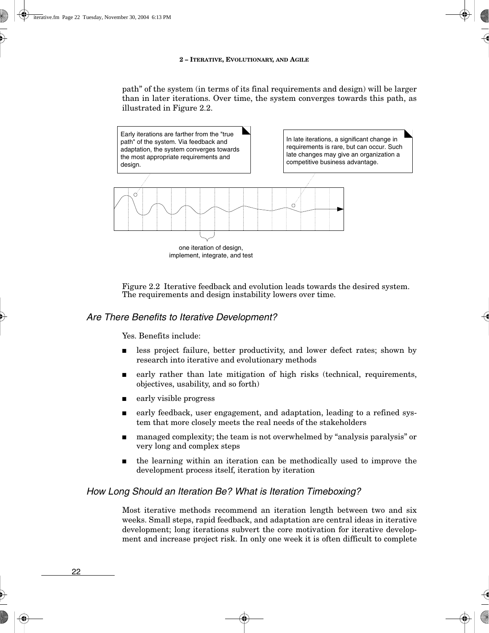path" of the system (in terms of its final requirements and design) will be larger than in later iterations. Over time, the system converges towards this path, as illustrated in Figure 2.2.



Figure 2.2 Iterative feedback and evolution leads towards the desired system. The requirements and design instability lowers over time.

### *Are There Benefits to Iterative Development?*

Yes. Benefits include:

- less project failure, better productivity, and lower defect rates; shown by research into iterative and evolutionary methods
- early rather than late mitigation of high risks (technical, requirements, objectives, usability, and so forth)
- early visible progress
- early feedback, user engagement, and adaptation, leading to a refined system that more closely meets the real needs of the stakeholders
- managed complexity; the team is not overwhelmed by "analysis paralysis" or very long and complex steps
- the learning within an iteration can be methodically used to improve the development process itself, iteration by iteration

### *How Long Should an Iteration Be? What is Iteration Timeboxing?*

Most iterative methods recommend an iteration length between two and six weeks. Small steps, rapid feedback, and adaptation are central ideas in iterative development; long iterations subvert the core motivation for iterative development and increase project risk. In only one week it is often difficult to complete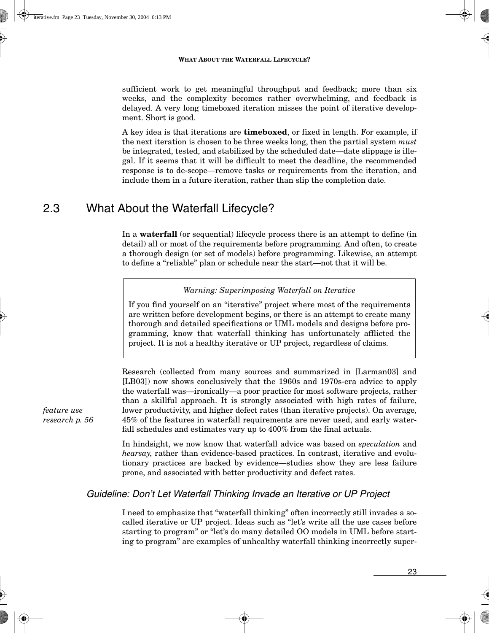#### **WHAT ABOUT THE WATERFALL LIFECYCLE?**

sufficient work to get meaningful throughput and feedback; more than six weeks, and the complexity becomes rather overwhelming, and feedback is delayed. A very long timeboxed iteration misses the point of iterative development. Short is good.

A key idea is that iterations are **timeboxed**, or fixed in length. For example, if the next iteration is chosen to be three weeks long, then the partial system *must* be integrated, tested, and stabilized by the scheduled date—date slippage is illegal. If it seems that it will be difficult to meet the deadline, the recommended response is to de-scope—remove tasks or requirements from the iteration, and include them in a future iteration, rather than slip the completion date.

# 2.3 What About the Waterfall Lifecycle?

In a **waterfall** (or sequential) lifecycle process there is an attempt to define (in detail) all or most of the requirements before programming. And often, to create a thorough design (or set of models) before programming. Likewise, an attempt to define a "reliable" plan or schedule near the start—not that it will be.

### *Warning: Superimposing Waterfall on Iterative*

If you find yourself on an "iterative" project where most of the requirements are written before development begins, or there is an attempt to create many thorough and detailed specifications or UML models and designs before programming, know that waterfall thinking has unfortunately afflicted the project. It is not a healthy iterative or UP project, regardless of claims.

Research (collected from many sources and summarized in [Larman03] and [LB03]) now shows conclusively that the 1960s and 1970s-era advice to apply the waterfall was—ironically—a poor practice for most software projects, rather than a skillful approach. It is strongly associated with high rates of failure, lower productivity, and higher defect rates (than iterative projects). On average, 45% of the features in waterfall requirements are never used, and early waterfall schedules and estimates vary up to 400% from the final actuals.

In hindsight, we now know that waterfall advice was based on *speculation* and *hearsay*, rather than evidence-based practices. In contrast, iterative and evolutionary practices are backed by evidence—studies show they are less failure prone, and associated with better productivity and defect rates.

### *Guideline: Don't Let Waterfall Thinking Invade an Iterative or UP Project*

I need to emphasize that "waterfall thinking" often incorrectly still invades a socalled iterative or UP project. Ideas such as "let's write all the use cases before starting to program" or "let's do many detailed OO models in UML before starting to program" are examples of unhealthy waterfall thinking incorrectly super-

*feature use research p. 56*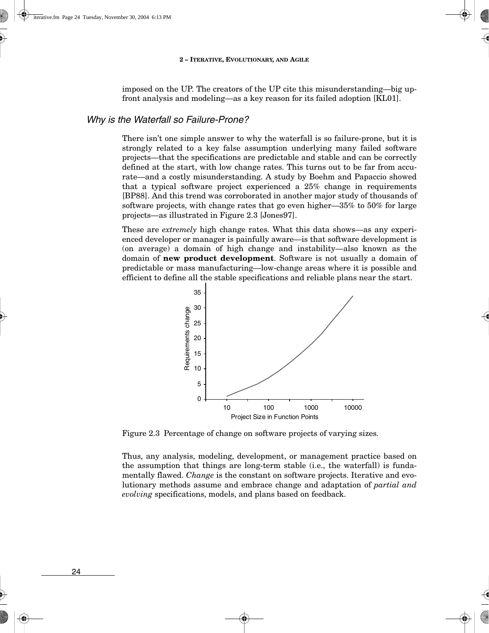imposed on the UP. The creators of the UP cite this misunderstanding—big upfront analysis and modeling—as a key reason for its failed adoption [KL01].

### *Why is the Waterfall so Failure-Prone?*

There isn't one simple answer to why the waterfall is so failure-prone, but it is strongly related to a key false assumption underlying many failed software projects—that the specifications are predictable and stable and can be correctly defined at the start, with low change rates. This turns out to be far from accurate—and a costly misunderstanding. A study by Boehm and Papaccio showed that a typical software project experienced a 25% change in requirements [BP88]. And this trend was corroborated in another major study of thousands of software projects, with change rates that go even higher—35% to 50% for large projects—as illustrated in Figure 2.3 [Jones97].

These are *extremely* high change rates. What this data shows—as any experienced developer or manager is painfully aware—is that software development is (on average) a domain of high change and instability—also known as the domain of **new product development**. Software is not usually a domain of predictable or mass manufacturing—low-change areas where it is possible and efficient to define all the stable specifications and reliable plans near the start.



Figure 2.3 Percentage of change on software projects of varying sizes.

Thus, any analysis, modeling, development, or management practice based on the assumption that things are long-term stable (i.e., the waterfall) is fundamentally flawed. *Change* is the constant on software projects. Iterative and evolutionary methods assume and embrace change and adaptation of *partial and evolving* specifications, models, and plans based on feedback.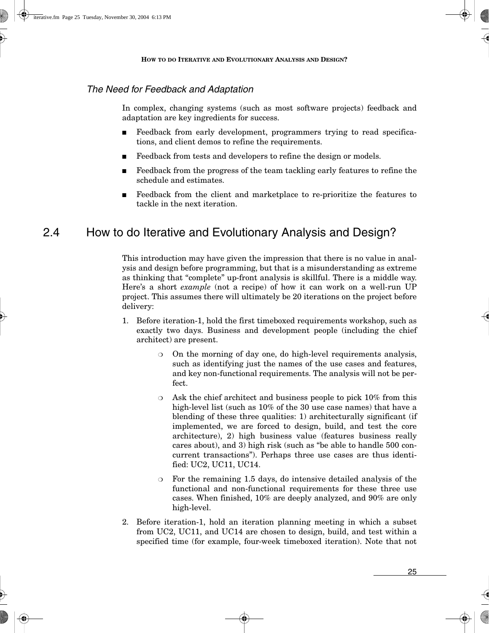#### **HOW TO DO ITERATIVE AND EVOLUTIONARY ANALYSIS AND DESIGN?**

### *The Need for Feedback and Adaptation*

In complex, changing systems (such as most software projects) feedback and adaptation are key ingredients for success.

- Feedback from early development, programmers trying to read specifications, and client demos to refine the requirements.
- Feedback from tests and developers to refine the design or models.
- Feedback from the progress of the team tackling early features to refine the schedule and estimates.
- Feedback from the client and marketplace to re-prioritize the features to tackle in the next iteration.

### 2.4 How to do Iterative and Evolutionary Analysis and Design?

This introduction may have given the impression that there is no value in analysis and design before programming, but that is a misunderstanding as extreme as thinking that "complete" up-front analysis is skillful. There is a middle way. Here's a short *example* (not a recipe) of how it can work on a well-run UP project. This assumes there will ultimately be 20 iterations on the project before delivery:

- 1. Before iteration-1, hold the first timeboxed requirements workshop, such as exactly two days. Business and development people (including the chief architect) are present.
	- ❍ On the morning of day one, do high-level requirements analysis, such as identifying just the names of the use cases and features, and key non-functional requirements. The analysis will not be perfect.
	- ❍ Ask the chief architect and business people to pick 10% from this high-level list (such as 10% of the 30 use case names) that have a blending of these three qualities: 1) architecturally significant (if implemented, we are forced to design, build, and test the core architecture), 2) high business value (features business really cares about), and 3) high risk (such as "be able to handle 500 concurrent transactions"). Perhaps three use cases are thus identified: UC2, UC11, UC14.
	- ❍ For the remaining 1.5 days, do intensive detailed analysis of the functional and non-functional requirements for these three use cases. When finished, 10% are deeply analyzed, and 90% are only high-level.
- 2. Before iteration-1, hold an iteration planning meeting in which a subset from UC2, UC11, and UC14 are chosen to design, build, and test within a specified time (for example, four-week timeboxed iteration). Note that not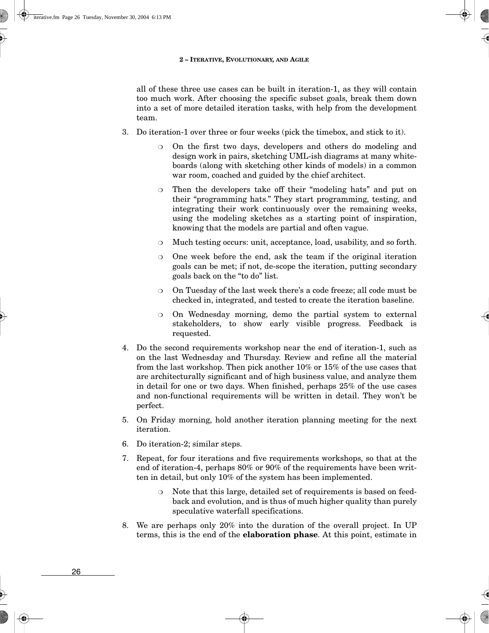all of these three use cases can be built in iteration-1, as they will contain too much work. After choosing the specific subset goals, break them down into a set of more detailed iteration tasks, with help from the development team.

- 3. Do iteration-1 over three or four weeks (pick the timebox, and stick to it).
	- On the first two days, developers and others do modeling and design work in pairs, sketching UML-ish diagrams at many whiteboards (along with sketching other kinds of models) in a common war room, coached and guided by the chief architect.
	- ❍ Then the developers take off their "modeling hats" and put on their "programming hats." They start programming, testing, and integrating their work continuously over the remaining weeks, using the modeling sketches as a starting point of inspiration, knowing that the models are partial and often vague.
	- ❍ Much testing occurs: unit, acceptance, load, usability, and so forth.
	- ❍ One week before the end, ask the team if the original iteration goals can be met; if not, de-scope the iteration, putting secondary goals back on the "to do" list.
	- ❍ On Tuesday of the last week there's a code freeze; all code must be checked in, integrated, and tested to create the iteration baseline.
	- ❍ On Wednesday morning, demo the partial system to external stakeholders, to show early visible progress. Feedback is requested.
- 4. Do the second requirements workshop near the end of iteration-1, such as on the last Wednesday and Thursday. Review and refine all the material from the last workshop. Then pick another 10% or 15% of the use cases that are architecturally significant and of high business value, and analyze them in detail for one or two days. When finished, perhaps 25% of the use cases and non-functional requirements will be written in detail. They won't be perfect.
- 5. On Friday morning, hold another iteration planning meeting for the next iteration.
- 6. Do iteration-2; similar steps.
- 7. Repeat, for four iterations and five requirements workshops, so that at the end of iteration-4, perhaps 80% or 90% of the requirements have been written in detail, but only 10% of the system has been implemented.
	- ❍ Note that this large, detailed set of requirements is based on feedback and evolution, and is thus of much higher quality than purely speculative waterfall specifications.
- 8. We are perhaps only 20% into the duration of the overall project. In UP terms, this is the end of the **elaboration phase**. At this point, estimate in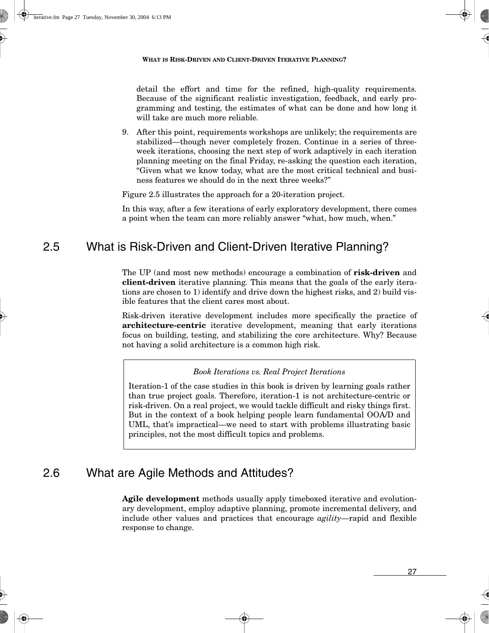#### **WHAT IS RISK-DRIVEN AND CLIENT-DRIVEN ITERATIVE PLANNING?**

detail the effort and time for the refined, high-quality requirements. Because of the significant realistic investigation, feedback, and early programming and testing, the estimates of what can be done and how long it will take are much more reliable.

9. After this point, requirements workshops are unlikely; the requirements are stabilized—though never completely frozen. Continue in a series of threeweek iterations, choosing the next step of work adaptively in each iteration planning meeting on the final Friday, re-asking the question each iteration, "Given what we know today, what are the most critical technical and business features we should do in the next three weeks?"

Figure 2.5 illustrates the approach for a 20-iteration project.

In this way, after a few iterations of early exploratory development, there comes a point when the team can more reliably answer "what, how much, when."

# 2.5 What is Risk-Driven and Client-Driven Iterative Planning?

The UP (and most new methods) encourage a combination of **risk-driven** and **client-driven** iterative planning. This means that the goals of the early iterations are chosen to 1) identify and drive down the highest risks, and 2) build visible features that the client cares most about.

Risk-driven iterative development includes more specifically the practice of **architecture-centric** iterative development, meaning that early iterations focus on building, testing, and stabilizing the core architecture. Why? Because not having a solid architecture is a common high risk.

### *Book Iterations vs. Real Project Iterations*

Iteration-1 of the case studies in this book is driven by learning goals rather than true project goals. Therefore, iteration-1 is not architecture-centric or risk-driven. On a real project, we would tackle difficult and risky things first. But in the context of a book helping people learn fundamental OOA/D and UML, that's impractical—we need to start with problems illustrating basic principles, not the most difficult topics and problems.

# 2.6 What are Agile Methods and Attitudes?

**Agile development** methods usually apply timeboxed iterative and evolutionary development, employ adaptive planning, promote incremental delivery, and include other values and practices that encourage *agility*—rapid and flexible response to change.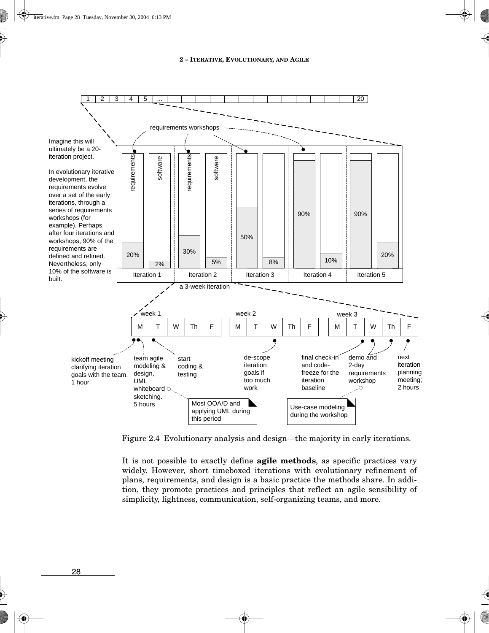

Figure 2.4 Evolutionary analysis and design—the majority in early iterations.

It is not possible to exactly define **agile methods**, as specific practices vary widely. However, short timeboxed iterations with evolutionary refinement of plans, requirements, and design is a basic practice the methods share. In addition, they promote practices and principles that reflect an agile sensibility of simplicity, lightness, communication, self-organizing teams, and more.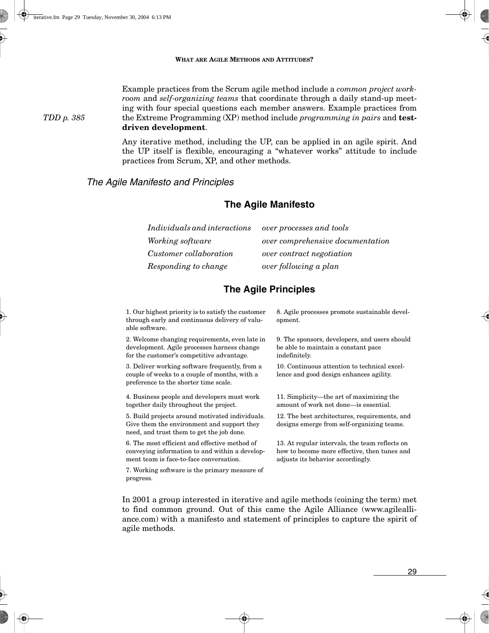#### **WHAT ARE AGILE METHODS AND ATTITUDES?**

Example practices from the Scrum agile method include a *common project workroom* and *self-organizing teams* that coordinate through a daily stand-up meeting with four special questions each member answers. Example practices from the Extreme Programming (XP) method include *programming in pairs* and **testdriven development**.

Any iterative method, including the UP, can be applied in an agile spirit. And the UP itself is flexible, encouraging a "whatever works" attitude to include practices from Scrum, XP, and other methods.

### *The Agile Manifesto and Principles*

### **The Agile Manifesto**

| Individuals and interactions | over processes and tools         |
|------------------------------|----------------------------------|
| Working software             | over comprehensive documentation |
| Customer collaboration       | over contract negotiation        |
| Responding to change         | over following a plan            |

### **The Agile Principles**

1. Our highest priority is to satisfy the customer through early and continuous delivery of valuable software.

2. Welcome changing requirements, even late in development. Agile processes harness change for the customer's competitive advantage.

3. Deliver working software frequently, from a couple of weeks to a couple of months, with a preference to the shorter time scale.

4. Business people and developers must work together daily throughout the project.

5. Build projects around motivated individuals. Give them the environment and support they need, and trust them to get the job done.

6. The most efficient and effective method of conveying information to and within a development team is face-to-face conversation.

7. Working software is the primary measure of progress.

8. Agile processes promote sustainable development.

9. The sponsors, developers, and users should be able to maintain a constant pace indefinitely.

10. Continuous attention to technical excellence and good design enhances agility.

11. Simplicity—the art of maximizing the amount of work not done—is essential.

12. The best architectures, requirements, and designs emerge from self-organizing teams.

13. At regular intervals, the team reflects on how to become more effective, then tunes and adjusts its behavior accordingly.

In 2001 a group interested in iterative and agile methods (coining the term) met to find common ground. Out of this came the Agile Alliance (www.agilealliance.com) with a manifesto and statement of principles to capture the spirit of agile methods.

*TDD p. 385*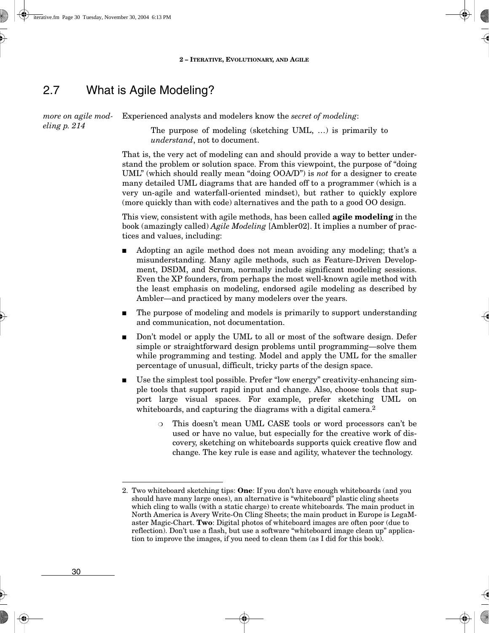# 2.7 What is Agile Modeling?

*more on agile modeling p. 214*

Experienced analysts and modelers know the *secret of modeling*:

The purpose of modeling (sketching UML, …) is primarily to *understand*, not to document.

That is, the very act of modeling can and should provide a way to better understand the problem or solution space. From this viewpoint, the purpose of "doing UML" (which should really mean "doing OOA/D") is *not* for a designer to create many detailed UML diagrams that are handed off to a programmer (which is a very un-agile and waterfall-oriented mindset), but rather to quickly explore (more quickly than with code) alternatives and the path to a good OO design.

This view, consistent with agile methods, has been called **agile modeling** in the book (amazingly called) *Agile Modeling* [Ambler02]. It implies a number of practices and values, including:

- Adopting an agile method does not mean avoiding any modeling; that's a misunderstanding. Many agile methods, such as Feature-Driven Development, DSDM, and Scrum, normally include significant modeling sessions. Even the XP founders, from perhaps the most well-known agile method with the least emphasis on modeling, endorsed agile modeling as described by Ambler—and practiced by many modelers over the years.
- The purpose of modeling and models is primarily to support understanding and communication, not documentation.
- Don't model or apply the UML to all or most of the software design. Defer simple or straightforward design problems until programming—solve them while programming and testing. Model and apply the UML for the smaller percentage of unusual, difficult, tricky parts of the design space.
- Use the simplest tool possible. Prefer "low energy" creativity-enhancing simple tools that support rapid input and change. Also, choose tools that support large visual spaces. For example, prefer sketching UML on whiteboards, and capturing the diagrams with a digital camera.<sup>2</sup>
	- This doesn't mean UML CASE tools or word processors can't be used or have no value, but especially for the creative work of discovery, sketching on whiteboards supports quick creative flow and change. The key rule is ease and agility, whatever the technology.

<sup>2.</sup> Two whiteboard sketching tips: **One**: If you don't have enough whiteboards (and you should have many large ones), an alternative is "whiteboard" plastic cling sheets which cling to walls (with a static charge) to create whiteboards. The main product in North America is Avery Write-On Cling Sheets; the main product in Europe is LegaMaster Magic-Chart. **Two**: Digital photos of whiteboard images are often poor (due to reflection). Don't use a flash, but use a software "whiteboard image clean up" application to improve the images, if you need to clean them (as I did for this book).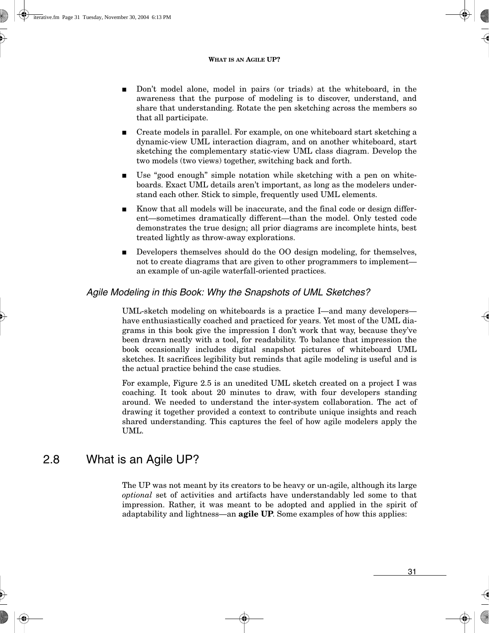#### **WHAT IS AN AGILE UP?**

- Don't model alone, model in pairs (or triads) at the whiteboard, in the awareness that the purpose of modeling is to discover, understand, and share that understanding. Rotate the pen sketching across the members so that all participate.
- Create models in parallel. For example, on one whiteboard start sketching a dynamic-view UML interaction diagram, and on another whiteboard, start sketching the complementary static-view UML class diagram. Develop the two models (two views) together, switching back and forth.
- Use "good enough" simple notation while sketching with a pen on whiteboards. Exact UML details aren't important, as long as the modelers understand each other. Stick to simple, frequently used UML elements.
- Know that all models will be inaccurate, and the final code or design different—sometimes dramatically different—than the model. Only tested code demonstrates the true design; all prior diagrams are incomplete hints, best treated lightly as throw-away explorations.
- Developers themselves should do the OO design modeling, for themselves, not to create diagrams that are given to other programmers to implement an example of un-agile waterfall-oriented practices.

### *Agile Modeling in this Book: Why the Snapshots of UML Sketches?*

UML-sketch modeling on whiteboards is a practice I—and many developers have enthusiastically coached and practiced for years. Yet most of the UML diagrams in this book give the impression I don't work that way, because they've been drawn neatly with a tool, for readability. To balance that impression the book occasionally includes digital snapshot pictures of whiteboard UML sketches. It sacrifices legibility but reminds that agile modeling is useful and is the actual practice behind the case studies.

For example, Figure 2.5 is an unedited UML sketch created on a project I was coaching. It took about 20 minutes to draw, with four developers standing around. We needed to understand the inter-system collaboration. The act of drawing it together provided a context to contribute unique insights and reach shared understanding. This captures the feel of how agile modelers apply the UML.

# 2.8 What is an Agile UP?

The UP was not meant by its creators to be heavy or un-agile, although its large *optional* set of activities and artifacts have understandably led some to that impression. Rather, it was meant to be adopted and applied in the spirit of adaptability and lightness—an **agile UP**. Some examples of how this applies: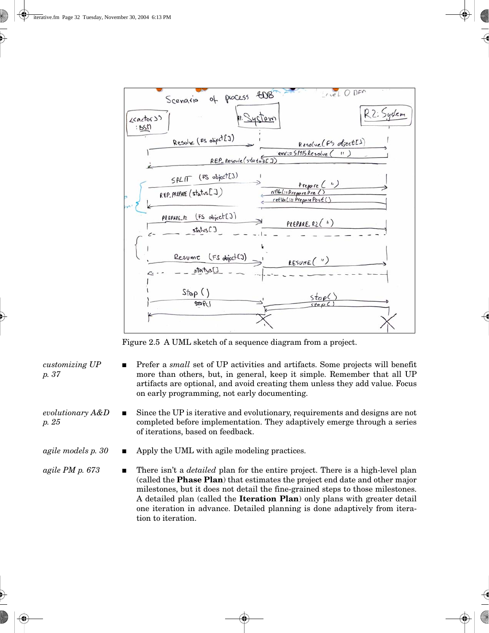

Figure 2.5 A UML sketch of a sequence diagram from a project.

- Prefer a *small* set of UP activities and artifacts. Some projects will benefit more than others, but, in general, keep it simple. Remember that all UP artifacts are optional, and avoid creating them unless they add value. Focus on early programming, not early documenting.
- Since the UP is iterative and evolutionary, requirements and designs are not completed before implementation. They adaptively emerge through a series of iterations, based on feedback.
- 
- *agile models p. 30* Apply the UML with agile modeling practices.
- *agile PM p. 673* There isn't a *detailed* plan for the entire project. There is a high-level plan (called the **Phase Plan**) that estimates the project end date and other major milestones, but it does not detail the fine-grained steps to those milestones. A detailed plan (called the **Iteration Plan**) only plans with greater detail one iteration in advance. Detailed planning is done adaptively from iteration to iteration.

*p. 37*

*customizing UP* 

- *evolutionary A&D p. 25*
-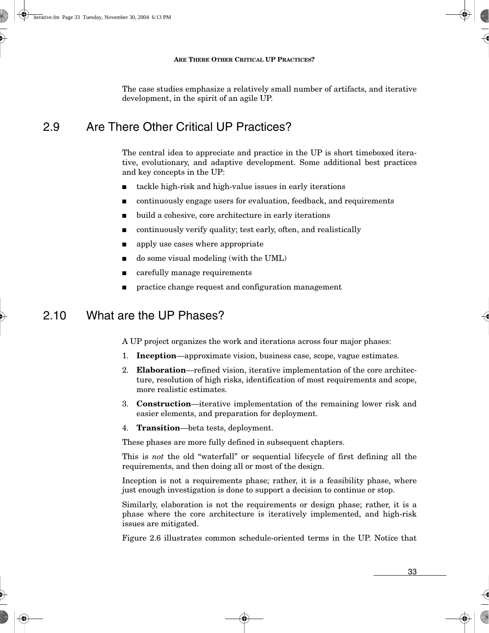#### **ARE THERE OTHER CRITICAL UP PRACTICES?**

The case studies emphasize a relatively small number of artifacts, and iterative development, in the spirit of an agile UP.

# 2.9 Are There Other Critical UP Practices?

The central idea to appreciate and practice in the UP is short timeboxed iterative, evolutionary, and adaptive development. Some additional best practices and key concepts in the UP:

- tackle high-risk and high-value issues in early iterations
- continuously engage users for evaluation, feedback, and requirements
- build a cohesive, core architecture in early iterations
- continuously verify quality; test early, often, and realistically
- apply use cases where appropriate
- do some visual modeling (with the UML)
- carefully manage requirements
- practice change request and configuration management

### 2.10 What are the UP Phases?

A UP project organizes the work and iterations across four major phases:

- 1. **Inception**—approximate vision, business case, scope, vague estimates.
- 2. **Elaboration**—refined vision, iterative implementation of the core architecture, resolution of high risks, identification of most requirements and scope, more realistic estimates.
- 3. **Construction**—iterative implementation of the remaining lower risk and easier elements, and preparation for deployment.
- 4. **Transition**—beta tests, deployment.

These phases are more fully defined in subsequent chapters.

This is *not* the old "waterfall" or sequential lifecycle of first defining all the requirements, and then doing all or most of the design.

Inception is not a requirements phase; rather, it is a feasibility phase, where just enough investigation is done to support a decision to continue or stop.

Similarly, elaboration is not the requirements or design phase; rather, it is a phase where the core architecture is iteratively implemented, and high-risk issues are mitigated.

Figure 2.6 illustrates common schedule-oriented terms in the UP. Notice that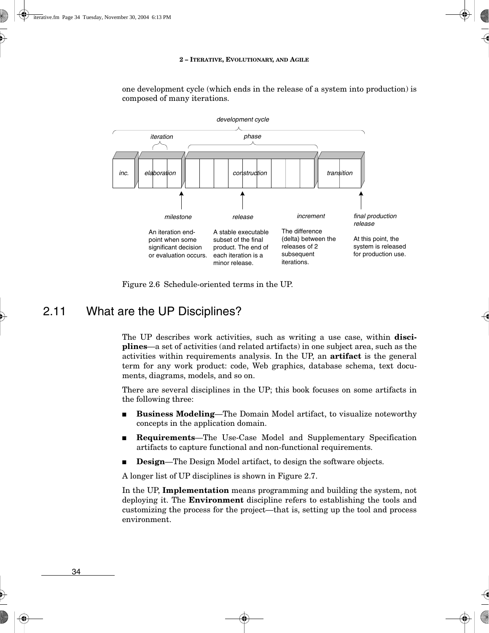

one development cycle (which ends in the release of a system into production) is composed of many iterations.

Figure 2.6 Schedule-oriented terms in the UP.

# 2.11 What are the UP Disciplines?

The UP describes work activities, such as writing a use case, within **disciplines**—a set of activities (and related artifacts) in one subject area, such as the activities within requirements analysis. In the UP, an **artifact** is the general term for any work product: code, Web graphics, database schema, text documents, diagrams, models, and so on.

There are several disciplines in the UP; this book focuses on some artifacts in the following three:

- **Business Modeling—The Domain Model artifact, to visualize noteworthy** concepts in the application domain.
- **Requirements**—The Use-Case Model and Supplementary Specification artifacts to capture functional and non-functional requirements.
- **Design**—The Design Model artifact, to design the software objects.

A longer list of UP disciplines is shown in Figure 2.7.

In the UP, **Implementation** means programming and building the system, not deploying it. The **Environment** discipline refers to establishing the tools and customizing the process for the project—that is, setting up the tool and process environment.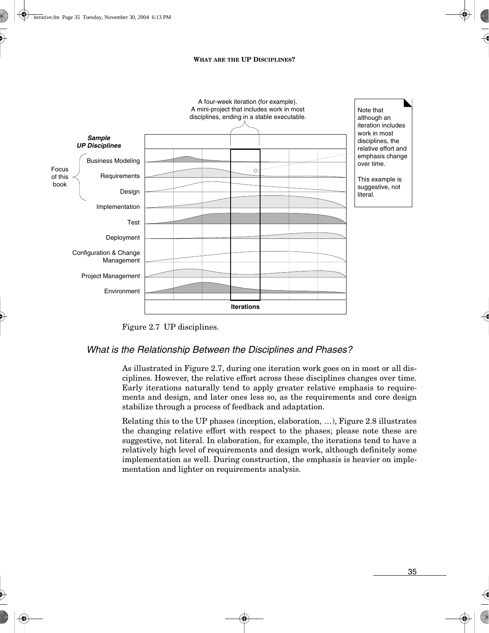#### **WHAT ARE THE UP DISCIPLINES?**



Figure 2.7 UP disciplines.

### *What is the Relationship Between the Disciplines and Phases?*

As illustrated in Figure 2.7, during one iteration work goes on in most or all disciplines. However, the relative effort across these disciplines changes over time. Early iterations naturally tend to apply greater relative emphasis to requirements and design, and later ones less so, as the requirements and core design stabilize through a process of feedback and adaptation.

Relating this to the UP phases (inception, elaboration, …), Figure 2.8 illustrates the changing relative effort with respect to the phases; please note these are suggestive, not literal. In elaboration, for example, the iterations tend to have a relatively high level of requirements and design work, although definitely some implementation as well. During construction, the emphasis is heavier on implementation and lighter on requirements analysis.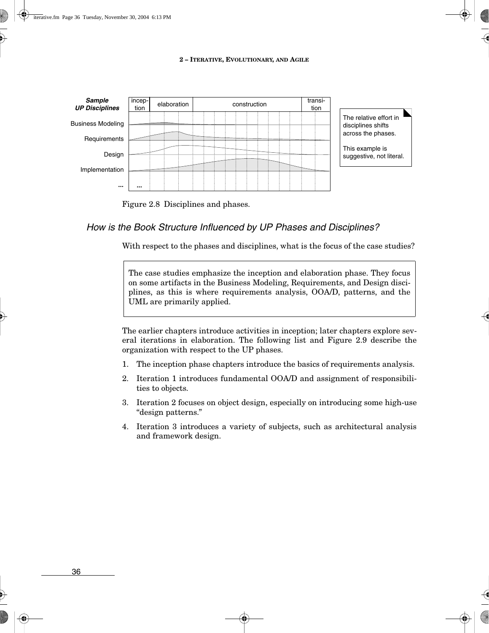



### *How is the Book Structure Influenced by UP Phases and Disciplines?*

With respect to the phases and disciplines, what is the focus of the case studies?

The case studies emphasize the inception and elaboration phase. They focus on some artifacts in the Business Modeling, Requirements, and Design disciplines, as this is where requirements analysis, OOA/D, patterns, and the UML are primarily applied.

The earlier chapters introduce activities in inception; later chapters explore several iterations in elaboration. The following list and Figure 2.9 describe the organization with respect to the UP phases.

- 1. The inception phase chapters introduce the basics of requirements analysis.
- 2. Iteration 1 introduces fundamental OOA/D and assignment of responsibilities to objects.
- 3. Iteration 2 focuses on object design, especially on introducing some high-use "design patterns."
- 4. Iteration 3 introduces a variety of subjects, such as architectural analysis and framework design.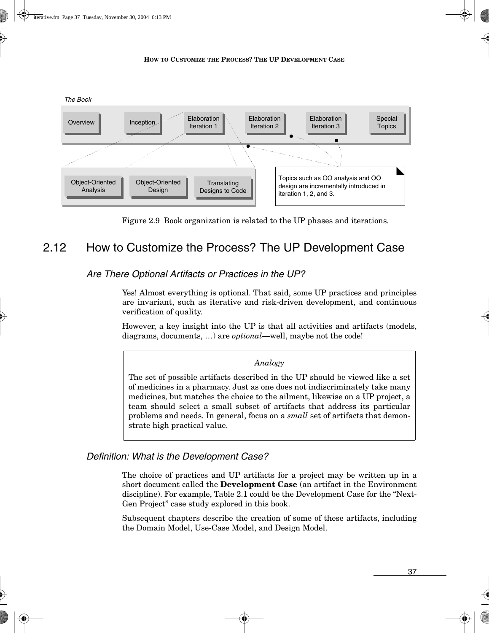#### **HOW TO CUSTOMIZE THE PROCESS? THE UP DEVELOPMENT CASE**





# 2.12 How to Customize the Process? The UP Development Case

### *Are There Optional Artifacts or Practices in the UP?*

Yes! Almost everything is optional. That said, some UP practices and principles are invariant, such as iterative and risk-driven development, and continuous verification of quality.

However, a key insight into the UP is that all activities and artifacts (models, diagrams, documents, …) are *optional*—well, maybe not the code!

*Analogy*

The set of possible artifacts described in the UP should be viewed like a set of medicines in a pharmacy. Just as one does not indiscriminately take many medicines, but matches the choice to the ailment, likewise on a UP project, a team should select a small subset of artifacts that address its particular problems and needs. In general, focus on a *small* set of artifacts that demonstrate high practical value.

*Definition: What is the Development Case?*

The choice of practices and UP artifacts for a project may be written up in a short document called the **Development Case** (an artifact in the Environment discipline). For example, Table 2.1 could be the Development Case for the "Next-Gen Project" case study explored in this book.

Subsequent chapters describe the creation of some of these artifacts, including the Domain Model, Use-Case Model, and Design Model.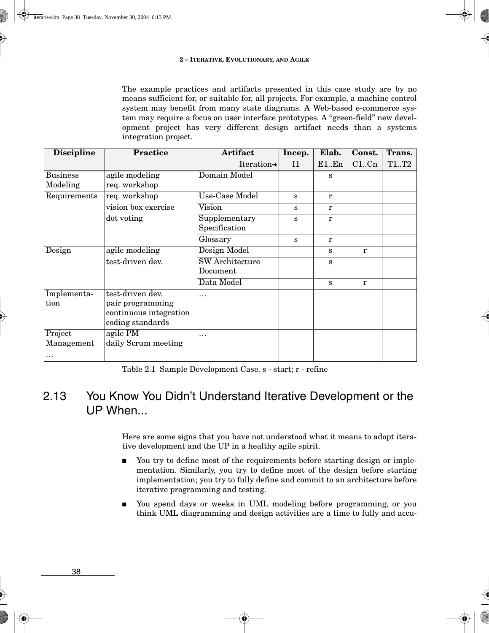The example practices and artifacts presented in this case study are by no means sufficient for, or suitable for, all projects. For example, a machine control system may benefit from many state diagrams. A Web-based e-commerce system may require a focus on user interface prototypes. A "green-field" new development project has very different design artifact needs than a systems integration project.

| <b>Discipline</b>   | <b>Practice</b>                                                                    | Artifact                       | Incep.      | Elab.   | Const. | Trans. |
|---------------------|------------------------------------------------------------------------------------|--------------------------------|-------------|---------|--------|--------|
|                     |                                                                                    | Iteration $\rightarrow$        | $_{\rm I1}$ | E1., En | C1.Cn  | T1T2   |
| <b>Business</b>     | agile modeling                                                                     | Domain Model                   |             | S       |        |        |
| Modeling            | req. workshop                                                                      |                                |             |         |        |        |
| Requirements        | req. workshop                                                                      | Use-Case Model                 | S           | r       |        |        |
|                     | vision box exercise                                                                | Vision                         | S           | r       |        |        |
|                     | dot voting                                                                         | Supplementary<br>Specification | S           | r       |        |        |
|                     |                                                                                    | Glossary                       | S           | r       |        |        |
| Design              | agile modeling                                                                     | Design Model                   |             | S       | r      |        |
|                     | test-driven dev.                                                                   | <b>SW</b> Architecture         |             | S       |        |        |
|                     |                                                                                    | Document                       |             |         |        |        |
|                     |                                                                                    | Data Model                     |             | S       | r      |        |
| Implementa-<br>tion | test-driven dev.<br>pair programming<br>continuous integration<br>coding standards | .                              |             |         |        |        |
| Project             | agile PM                                                                           | .                              |             |         |        |        |
| Management          | daily Scrum meeting                                                                |                                |             |         |        |        |
| $\cdots$            |                                                                                    |                                |             |         |        |        |

Table 2.1 Sample Development Case. s - start; r - refine

# 2.13 You Know You Didn't Understand Iterative Development or the UP When...

Here are some signs that you have not understood what it means to adopt iterative development and the UP in a healthy agile spirit.

- You try to define most of the requirements before starting design or implementation. Similarly, you try to define most of the design before starting implementation; you try to fully define and commit to an architecture before iterative programming and testing.
- You spend days or weeks in UML modeling before programming, or you think UML diagramming and design activities are a time to fully and accu-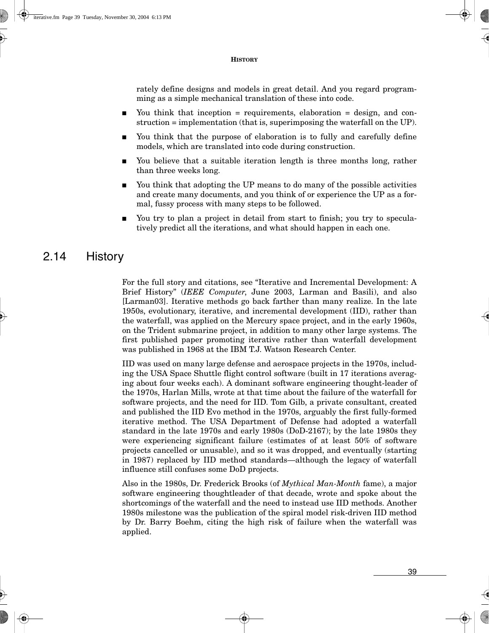#### **HISTORY**

rately define designs and models in great detail. And you regard programming as a simple mechanical translation of these into code.

- You think that inception  $=$  requirements, elaboration  $=$  design, and construction = implementation (that is, superimposing the waterfall on the UP).
- You think that the purpose of elaboration is to fully and carefully define models, which are translated into code during construction.
- You believe that a suitable iteration length is three months long, rather than three weeks long.
- You think that adopting the UP means to do many of the possible activities and create many documents, and you think of or experience the UP as a formal, fussy process with many steps to be followed.
- You try to plan a project in detail from start to finish; you try to speculatively predict all the iterations, and what should happen in each one.

# 2.14 History

For the full story and citations, see "Iterative and Incremental Development: A Brief History" (*IEEE Computer*, June 2003, Larman and Basili), and also [Larman03]. Iterative methods go back farther than many realize. In the late 1950s, evolutionary, iterative, and incremental development (IID), rather than the waterfall, was applied on the Mercury space project, and in the early 1960s, on the Trident submarine project, in addition to many other large systems. The first published paper promoting iterative rather than waterfall development was published in 1968 at the IBM T.J. Watson Research Center.

IID was used on many large defense and aerospace projects in the 1970s, including the USA Space Shuttle flight control software (built in 17 iterations averaging about four weeks each). A dominant software engineering thought-leader of the 1970s, Harlan Mills, wrote at that time about the failure of the waterfall for software projects, and the need for IID. Tom Gilb, a private consultant, created and published the IID Evo method in the 1970s, arguably the first fully-formed iterative method. The USA Department of Defense had adopted a waterfall standard in the late 1970s and early 1980s (DoD-2167); by the late 1980s they were experiencing significant failure (estimates of at least 50% of software projects cancelled or unusable), and so it was dropped, and eventually (starting in 1987) replaced by IID method standards—although the legacy of waterfall influence still confuses some DoD projects.

Also in the 1980s, Dr. Frederick Brooks (of *Mythical Man-Month* fame), a major software engineering thoughtleader of that decade, wrote and spoke about the shortcomings of the waterfall and the need to instead use IID methods. Another 1980s milestone was the publication of the spiral model risk-driven IID method by Dr. Barry Boehm, citing the high risk of failure when the waterfall was applied.